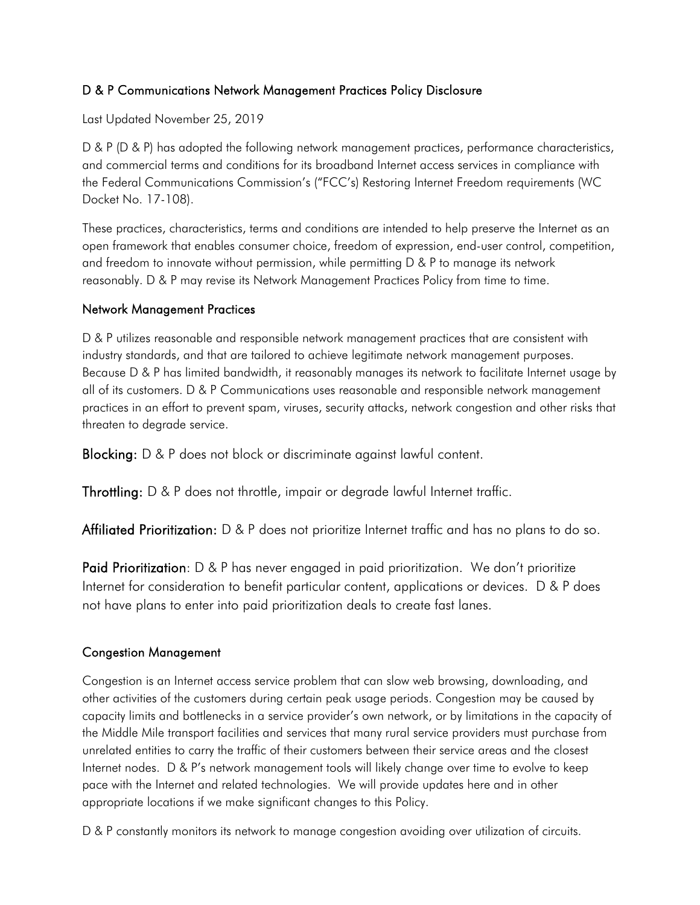### D & P Communications Network Management Practices Policy Disclosure

Last Updated November 25, 2019

D & P (D & P) has adopted the following network management practices, performance characteristics, and commercial terms and conditions for its broadband Internet access services in compliance with the Federal Communications Commission's ("FCC's) Restoring Internet Freedom requirements (WC Docket No. 17-108).

These practices, characteristics, terms and conditions are intended to help preserve the Internet as an open framework that enables consumer choice, freedom of expression, end-user control, competition, and freedom to innovate without permission, while permitting D & P to manage its network reasonably. D & P may revise its Network Management Practices Policy from time to time.

#### Network Management Practices

D & P utilizes reasonable and responsible network management practices that are consistent with industry standards, and that are tailored to achieve legitimate network management purposes. Because D & P has limited bandwidth, it reasonably manages its network to facilitate Internet usage by all of its customers. D & P Communications uses reasonable and responsible network management practices in an effort to prevent spam, viruses, security attacks, network congestion and other risks that threaten to degrade service.

Blocking: D & P does not block or discriminate against lawful content.

Throttling: D & P does not throttle, impair or degrade lawful Internet traffic.

Affiliated Prioritization: D & P does not prioritize Internet traffic and has no plans to do so.

Paid Prioritization: D & P has never engaged in paid prioritization. We don't prioritize Internet for consideration to benefit particular content, applications or devices. D & P does not have plans to enter into paid prioritization deals to create fast lanes.

### Congestion Management

Congestion is an Internet access service problem that can slow web browsing, downloading, and other activities of the customers during certain peak usage periods. Congestion may be caused by capacity limits and bottlenecks in a service provider's own network, or by limitations in the capacity of the Middle Mile transport facilities and services that many rural service providers must purchase from unrelated entities to carry the traffic of their customers between their service areas and the closest Internet nodes. D & P's network management tools will likely change over time to evolve to keep pace with the Internet and related technologies. We will provide updates here and in other appropriate locations if we make significant changes to this Policy.

D & P constantly monitors its network to manage congestion avoiding over utilization of circuits.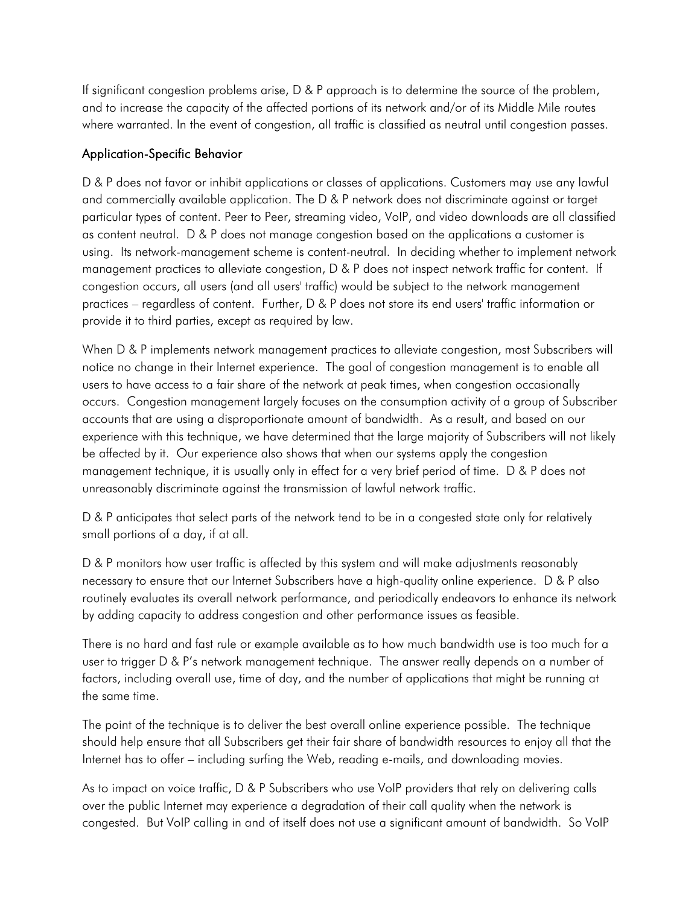If significant congestion problems arise, D & P approach is to determine the source of the problem, and to increase the capacity of the affected portions of its network and/or of its Middle Mile routes where warranted. In the event of congestion, all traffic is classified as neutral until congestion passes.

#### Application-Specific Behavior

D & P does not favor or inhibit applications or classes of applications. Customers may use any lawful and commercially available application. The D & P network does not discriminate against or target particular types of content. Peer to Peer, streaming video, VoIP, and video downloads are all classified as content neutral. D & P does not manage congestion based on the applications a customer is using. Its network-management scheme is content-neutral. In deciding whether to implement network management practices to alleviate congestion, D & P does not inspect network traffic for content. If congestion occurs, all users (and all users' traffic) would be subject to the network management practices – regardless of content. Further, D & P does not store its end users' traffic information or provide it to third parties, except as required by law.

When D & P implements network management practices to alleviate congestion, most Subscribers will notice no change in their Internet experience. The goal of congestion management is to enable all users to have access to a fair share of the network at peak times, when congestion occasionally occurs. Congestion management largely focuses on the consumption activity of a group of Subscriber accounts that are using a disproportionate amount of bandwidth. As a result, and based on our experience with this technique, we have determined that the large majority of Subscribers will not likely be affected by it. Our experience also shows that when our systems apply the congestion management technique, it is usually only in effect for a very brief period of time. D & P does not unreasonably discriminate against the transmission of lawful network traffic.

D & P anticipates that select parts of the network tend to be in a congested state only for relatively small portions of a day, if at all.

D & P monitors how user traffic is affected by this system and will make adjustments reasonably necessary to ensure that our Internet Subscribers have a high-quality online experience. D & P also routinely evaluates its overall network performance, and periodically endeavors to enhance its network by adding capacity to address congestion and other performance issues as feasible.

There is no hard and fast rule or example available as to how much bandwidth use is too much for a user to trigger D & P's network management technique. The answer really depends on a number of factors, including overall use, time of day, and the number of applications that might be running at the same time.

The point of the technique is to deliver the best overall online experience possible. The technique should help ensure that all Subscribers get their fair share of bandwidth resources to enjoy all that the Internet has to offer – including surfing the Web, reading e-mails, and downloading movies.

As to impact on voice traffic, D & P Subscribers who use VoIP providers that rely on delivering calls over the public Internet may experience a degradation of their call quality when the network is congested. But VoIP calling in and of itself does not use a significant amount of bandwidth. So VoIP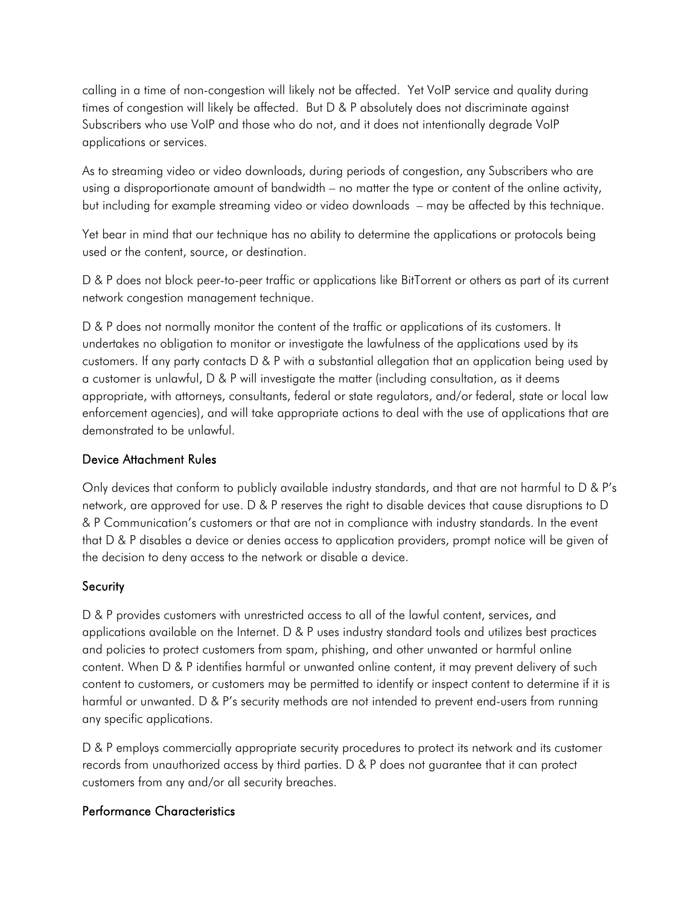calling in a time of non-congestion will likely not be affected. Yet VoIP service and quality during times of congestion will likely be affected. But D & P absolutely does not discriminate against Subscribers who use VoIP and those who do not, and it does not intentionally degrade VoIP applications or services.

As to streaming video or video downloads, during periods of congestion, any Subscribers who are using a disproportionate amount of bandwidth – no matter the type or content of the online activity, but including for example streaming video or video downloads – may be affected by this technique.

Yet bear in mind that our technique has no ability to determine the applications or protocols being used or the content, source, or destination.

D & P does not block peer-to-peer traffic or applications like BitTorrent or others as part of its current network congestion management technique.

D & P does not normally monitor the content of the traffic or applications of its customers. It undertakes no obligation to monitor or investigate the lawfulness of the applications used by its customers. If any party contacts D & P with a substantial allegation that an application being used by a customer is unlawful, D & P will investigate the matter (including consultation, as it deems appropriate, with attorneys, consultants, federal or state regulators, and/or federal, state or local law enforcement agencies), and will take appropriate actions to deal with the use of applications that are demonstrated to be unlawful.

### Device Attachment Rules

Only devices that conform to publicly available industry standards, and that are not harmful to D & P's network, are approved for use. D & P reserves the right to disable devices that cause disruptions to D & P Communication's customers or that are not in compliance with industry standards. In the event that D & P disables a device or denies access to application providers, prompt notice will be given of the decision to deny access to the network or disable a device.

### **Security**

D & P provides customers with unrestricted access to all of the lawful content, services, and applications available on the Internet. D & P uses industry standard tools and utilizes best practices and policies to protect customers from spam, phishing, and other unwanted or harmful online content. When D & P identifies harmful or unwanted online content, it may prevent delivery of such content to customers, or customers may be permitted to identify or inspect content to determine if it is harmful or unwanted. D & P's security methods are not intended to prevent end-users from running any specific applications.

D & P employs commercially appropriate security procedures to protect its network and its customer records from unauthorized access by third parties. D & P does not guarantee that it can protect customers from any and/or all security breaches.

## Performance Characteristics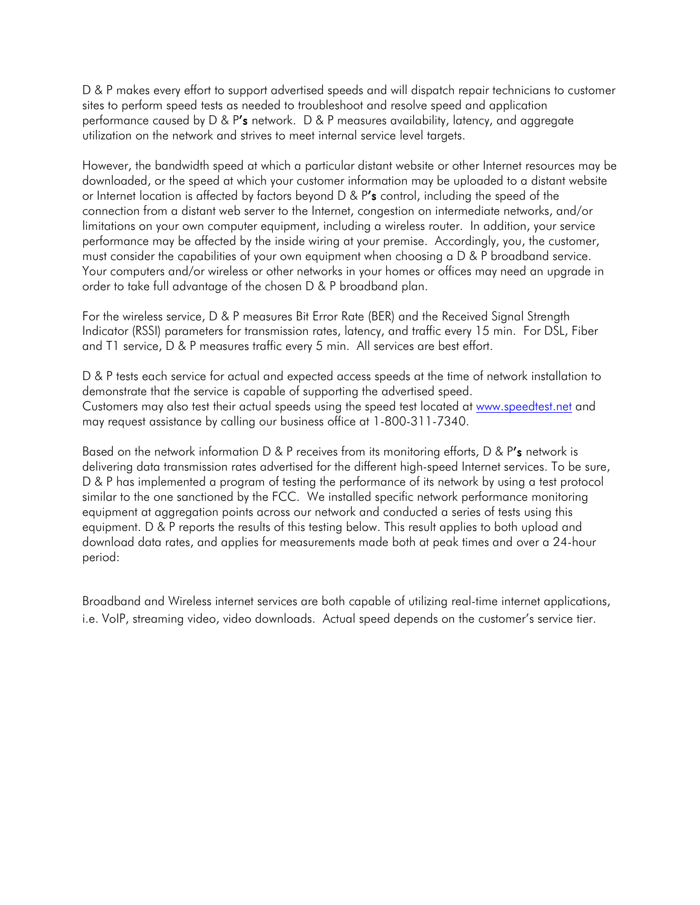D & P makes every effort to support advertised speeds and will dispatch repair technicians to customer sites to perform speed tests as needed to troubleshoot and resolve speed and application performance caused by D & P's network. D & P measures availability, latency, and aggregate utilization on the network and strives to meet internal service level targets.

However, the bandwidth speed at which a particular distant website or other Internet resources may be downloaded, or the speed at which your customer information may be uploaded to a distant website or Internet location is affected by factors beyond  $D & P's$  control, including the speed of the connection from a distant web server to the Internet, congestion on intermediate networks, and/or limitations on your own computer equipment, including a wireless router. In addition, your service performance may be affected by the inside wiring at your premise. Accordingly, you, the customer, must consider the capabilities of your own equipment when choosing a D & P broadband service. Your computers and/or wireless or other networks in your homes or offices may need an upgrade in order to take full advantage of the chosen D & P broadband plan.

For the wireless service, D & P measures Bit Error Rate (BER) and the Received Signal Strength Indicator (RSSI) parameters for transmission rates, latency, and traffic every 15 min. For DSL, Fiber and T1 service, D & P measures traffic every 5 min. All services are best effort.

D & P tests each service for actual and expected access speeds at the time of network installation to demonstrate that the service is capable of supporting the advertised speed. Customers may also test their actual speeds using the speed test located at [www.speedtest.net](http://www.speedtest.net/) and may request assistance by calling our business office at 1-800-311-7340.

Based on the network information D & P receives from its monitoring efforts, D & P's network is delivering data transmission rates advertised for the different high-speed Internet services. To be sure, D & P has implemented a program of testing the performance of its network by using a test protocol similar to the one sanctioned by the FCC. We installed specific network performance monitoring equipment at aggregation points across our network and conducted a series of tests using this equipment. D & P reports the results of this testing below. This result applies to both upload and download data rates, and applies for measurements made both at peak times and over a 24-hour period:

Broadband and Wireless internet services are both capable of utilizing real-time internet applications, i.e. VoIP, streaming video, video downloads. Actual speed depends on the customer's service tier.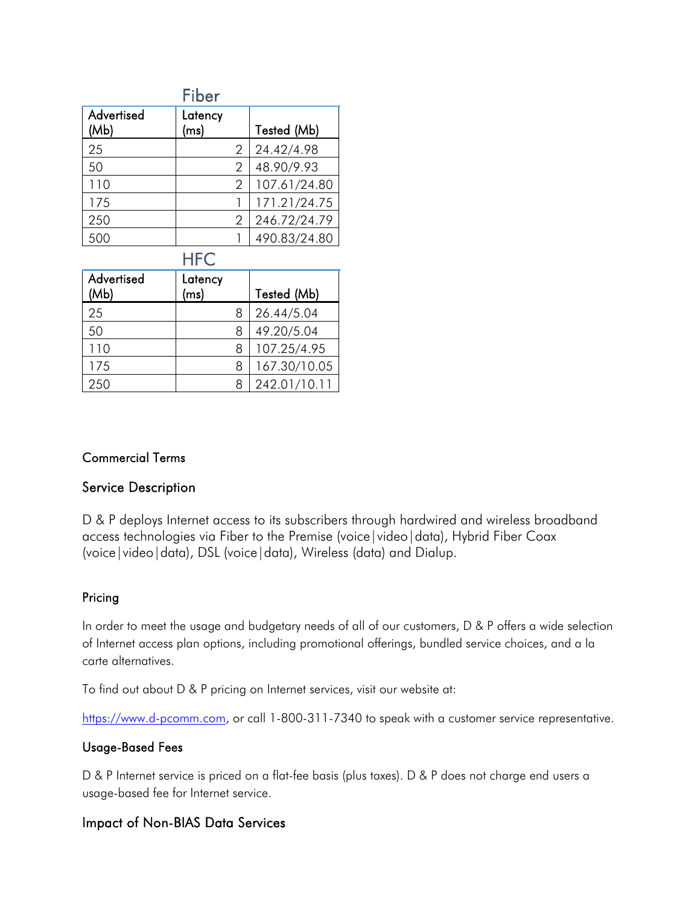|                    | Fiber           |   |              |
|--------------------|-----------------|---|--------------|
| Advertised<br>(Mb) | Latency<br>(ms) |   | Tested (Mb)  |
| 25                 |                 | 2 | 24.42/4.98   |
| 50                 |                 | 2 | 48.90/9.93   |
| 110                |                 | 2 | 107.61/24.80 |
| 175                |                 |   | 171.21/24.75 |
| 250                |                 | 2 | 246.72/24.79 |
|                    |                 |   | 490.83/24.80 |

## **HFC**

| Advertised<br>(Mb) | Latency<br>(ms) |   | Tested (Mb)  |
|--------------------|-----------------|---|--------------|
| 25                 |                 | 8 | 26.44/5.04   |
| 50                 |                 |   | 49.20/5.04   |
| 110                |                 |   | 107.25/4.95  |
| 175                |                 | 8 | 167.30/10.05 |
| 250                |                 |   | 242.01/10.11 |

### Commercial Terms

### Service Description

D & P deploys Internet access to its subscribers through hardwired and wireless broadband access technologies via Fiber to the Premise (voice|video|data), Hybrid Fiber Coax (voice|video|data), DSL (voice|data), Wireless (data) and Dialup.

### Pricing

In order to meet the usage and budgetary needs of all of our customers, D & P offers a wide selection of Internet access plan options, including promotional offerings, bundled service choices, and a la carte alternatives.

To find out about D & P pricing on Internet services, visit our website at:

[https://www.d-pcomm.com,](http://www.d-pcommunications.com/) or call 1-800-311-7340 to speak with a customer service representative.

#### Usage-Based Fees

D & P Internet service is priced on a flat-fee basis (plus taxes). D & P does not charge end users a usage-based fee for Internet service.

## Impact of Non-BIAS Data Services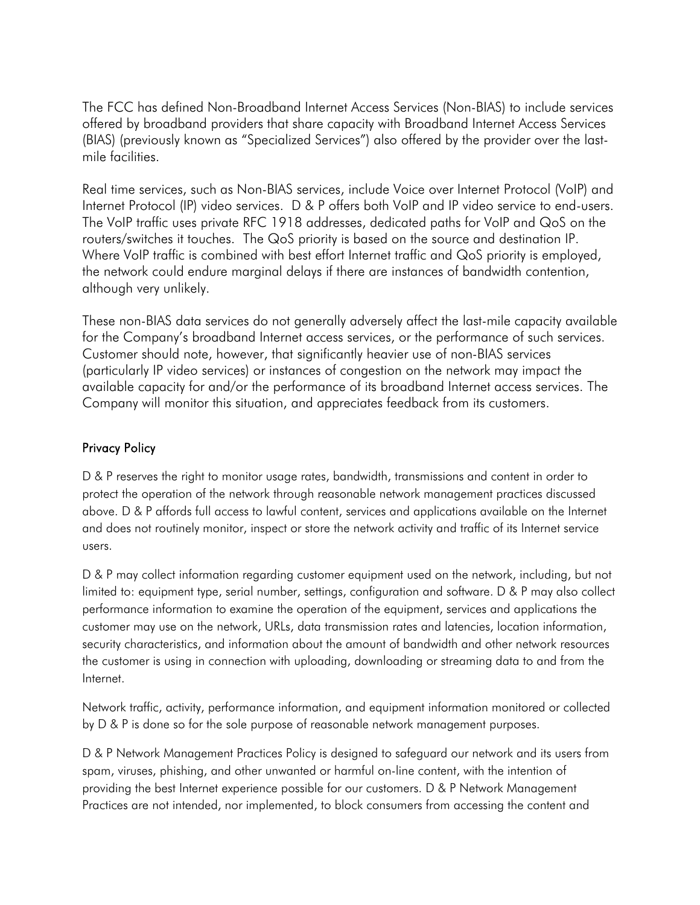The FCC has defined Non-Broadband Internet Access Services (Non-BIAS) to include services offered by broadband providers that share capacity with Broadband Internet Access Services (BIAS) (previously known as "Specialized Services") also offered by the provider over the lastmile facilities.

Real time services, such as Non-BIAS services, include Voice over Internet Protocol (VoIP) and Internet Protocol (IP) video services. D & P offers both VoIP and IP video service to end-users. The VoIP traffic uses private RFC 1918 addresses, dedicated paths for VoIP and QoS on the routers/switches it touches. The QoS priority is based on the source and destination IP. Where VoIP traffic is combined with best effort Internet traffic and QoS priority is employed, the network could endure marginal delays if there are instances of bandwidth contention, although very unlikely.

 These non-BIAS data services do not generally adversely affect the last-mile capacity available for the Company's broadband Internet access services, or the performance of such services. Customer should note, however, that significantly heavier use of non-BIAS services (particularly IP video services) or instances of congestion on the network may impact the available capacity for and/or the performance of its broadband Internet access services. The Company will monitor this situation, and appreciates feedback from its customers.

## Privacy Policy

D & P reserves the right to monitor usage rates, bandwidth, transmissions and content in order to protect the operation of the network through reasonable network management practices discussed above. D & P affords full access to lawful content, services and applications available on the Internet and does not routinely monitor, inspect or store the network activity and traffic of its Internet service users.

D & P may collect information regarding customer equipment used on the network, including, but not limited to: equipment type, serial number, settings, configuration and software. D & P may also collect performance information to examine the operation of the equipment, services and applications the customer may use on the network, URLs, data transmission rates and latencies, location information, security characteristics, and information about the amount of bandwidth and other network resources the customer is using in connection with uploading, downloading or streaming data to and from the Internet.

Network traffic, activity, performance information, and equipment information monitored or collected by D & P is done so for the sole purpose of reasonable network management purposes.

D & P Network Management Practices Policy is designed to safeguard our network and its users from spam, viruses, phishing, and other unwanted or harmful on-line content, with the intention of providing the best Internet experience possible for our customers. D & P Network Management Practices are not intended, nor implemented, to block consumers from accessing the content and